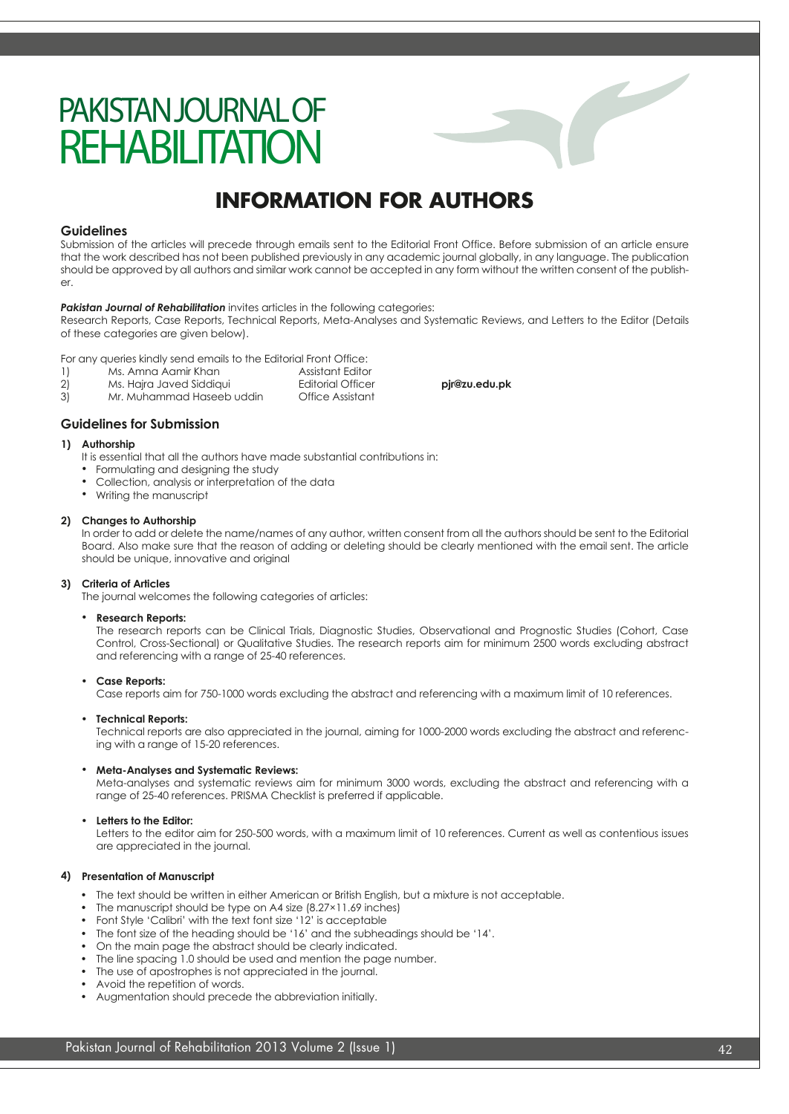# PAKISTAN JOURNAL OF **REHABILITATION**

# **INFORMATION FOR AUTHORS**

### **Guidelines**

Submission of the articles will precede through emails sent to the Editorial Front Office. Before submission of an article ensure that the work described has not been published previously in any academic journal globally, in any language. The publication should be approved by all authors and similar work cannot be accepted in any form without the written consent of the publisher.

### **Pakistan Journal of Rehabilitation** invites articles in the following categories:

Research Reports, Case Reports, Technical Reports, Meta-Analyses and Systematic Reviews, and Letters to the Editor (Details of these categories are given below).

For any queries kindly send emails to the Editorial Front Office:

- 1) Ms. Amna Aamir Khan Assistant Editor
- 2) Ms. Hajra Javed Siddiqui Editorial Officer **pjr@zu.edu.pk**
- 3) Mr. Muhammad Haseeb uddin Office Assistant

## **Guidelines for Submission**

### **Authorship 1)**

- It is essential that all the authors have made substantial contributions in:
- Formulating and designing the study
- Collection, analysis or interpretation of the data •
- Writing the manuscript

### **Changes to Authorship 2)**

In order to add or delete the name/names of any author, written consent from all the authors should be sent to the Editorial Board. Also make sure that the reason of adding or deleting should be clearly mentioned with the email sent. The article should be unique, innovative and original

### **Criteria of Articles 3)**

The journal welcomes the following categories of articles:

#### **Research Reports:** •

The research reports can be Clinical Trials, Diagnostic Studies, Observational and Prognostic Studies (Cohort, Case Control, Cross-Sectional) or Qualitative Studies. The research reports aim for minimum 2500 words excluding abstract and referencing with a range of 25-40 references.

#### **Case Reports:**  •

Case reports aim for 750-1000 words excluding the abstract and referencing with a maximum limit of 10 references.

#### **Technical Reports:**  •

Technical reports are also appreciated in the journal, aiming for 1000-2000 words excluding the abstract and referencing with a range of 15-20 references.

### **Meta-Analyses and Systematic Reviews:**  •

Meta-analyses and systematic reviews aim for minimum 3000 words, excluding the abstract and referencing with a range of 25-40 references. PRISMA Checklist is preferred if applicable.

### **Letters to the Editor:** •

Letters to the editor aim for 250-500 words, with a maximum limit of 10 references. Current as well as contentious issues are appreciated in the journal.

### **4) Presentation of Manuscript**

- The text should be written in either American or British English, but a mixture is not acceptable.
- The manuscript should be type on A4 size (8.27×11.69 inches)
- Font Style 'Calibri' with the text font size '12' is acceptable •
- The font size of the heading should be '16' and the subheadings should be '14'. •
- On the main page the abstract should be clearly indicated.
- The line spacing 1.0 should be used and mention the page number. •
- The use of apostrophes is not appreciated in the journal.
- Avoid the repetition of words. •
- Augmentation should precede the abbreviation initially. •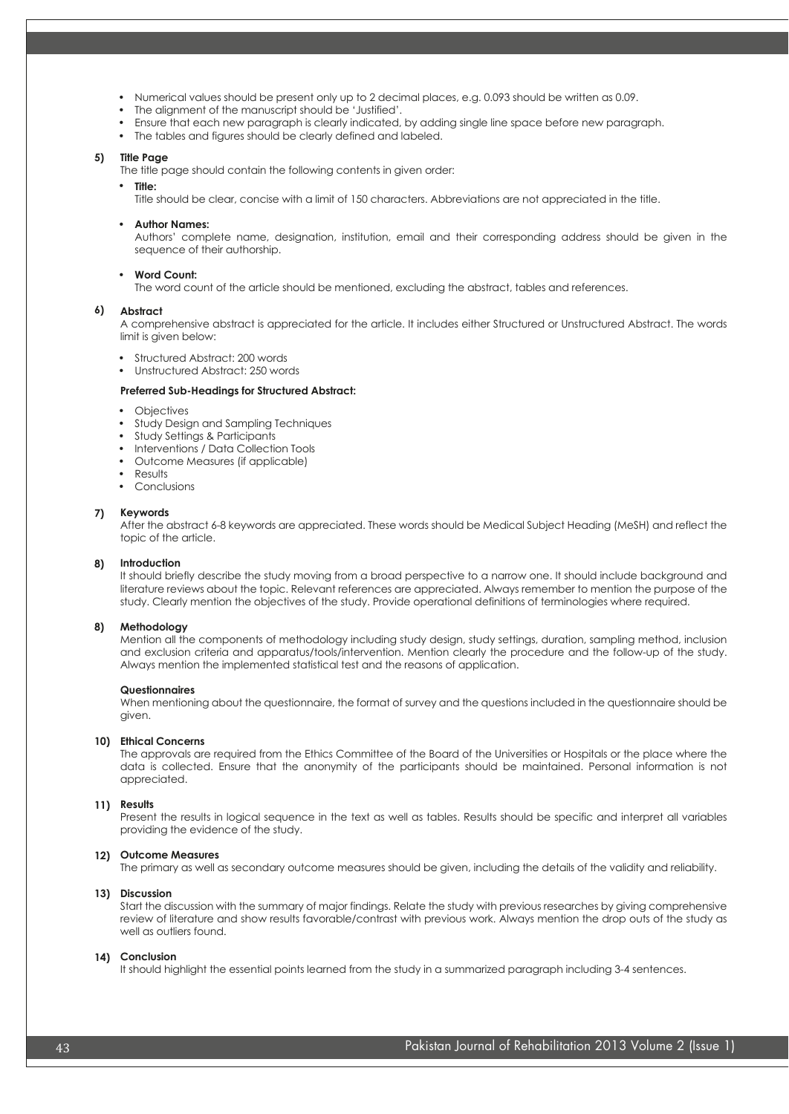- Numerical values should be present only up to 2 decimal places, e.g. 0.093 should be written as 0.09.
- The alignment of the manuscript should be 'Justified'. •
- Ensure that each new paragraph is clearly indicated, by adding single line space before new paragraph.
- The tables and figures should be clearly defined and labeled.

### **Title Page 5)**

The title page should contain the following contents in given order:

- **Title:** 
	- Title should be clear, concise with a limit of 150 characters. Abbreviations are not appreciated in the title.

### • **Author Names:**

Authors' complete name, designation, institution, email and their corresponding address should be given in the sequence of their authorship.

#### • **Word Count:**

The word count of the article should be mentioned, excluding the abstract, tables and references.

#### **Abstract 6)**

A comprehensive abstract is appreciated for the article. It includes either Structured or Unstructured Abstract. The words limit is given below:

- Structured Abstract: 200 words
- Unstructured Abstract: 250 words

### **Preferred Sub-Headings for Structured Abstract:**

- **Objectives**
- Study Design and Sampling Techniques
- Study Settings & Participants
- Interventions / Data Collection Tools
- Outcome Measures (if applicable)
- Results
- Conclusions

### **7) Keywords**

After the abstract 6-8 keywords are appreciated. These words should be Medical Subject Heading (MeSH) and reflect the topic of the article.

#### **8) Introduction**

It should briefly describe the study moving from a broad perspective to a narrow one. It should include background and literature reviews about the topic. Relevant references are appreciated. Always remember to mention the purpose of the study. Clearly mention the objectives of the study. Provide operational definitions of terminologies where required.

#### **8) Methodology**

Mention all the components of methodology including study design, study settings, duration, sampling method, inclusion and exclusion criteria and apparatus/tools/intervention. Mention clearly the procedure and the follow-up of the study. Always mention the implemented statistical test and the reasons of application.

### **Questionnaires**

When mentioning about the questionnaire, the format of survey and the questions included in the questionnaire should be given.

### **10) Ethical Concerns**

The approvals are required from the Ethics Committee of the Board of the Universities or Hospitals or the place where the data is collected. Ensure that the anonymity of the participants should be maintained. Personal information is not appreciated.

### **11) Results**

Present the results in logical sequence in the text as well as tables. Results should be specific and interpret all variables providing the evidence of the study.

### **12) Outcome Measures**

The primary as well as secondary outcome measures should be given, including the details of the validity and reliability.

### **13) Discussion**

Start the discussion with the summary of major findings. Relate the study with previous researches by giving comprehensive review of literature and show results favorable/contrast with previous work. Always mention the drop outs of the study as well as outliers found.

### **14) Conclusion**

It should highlight the essential points learned from the study in a summarized paragraph including 3-4 sentences.